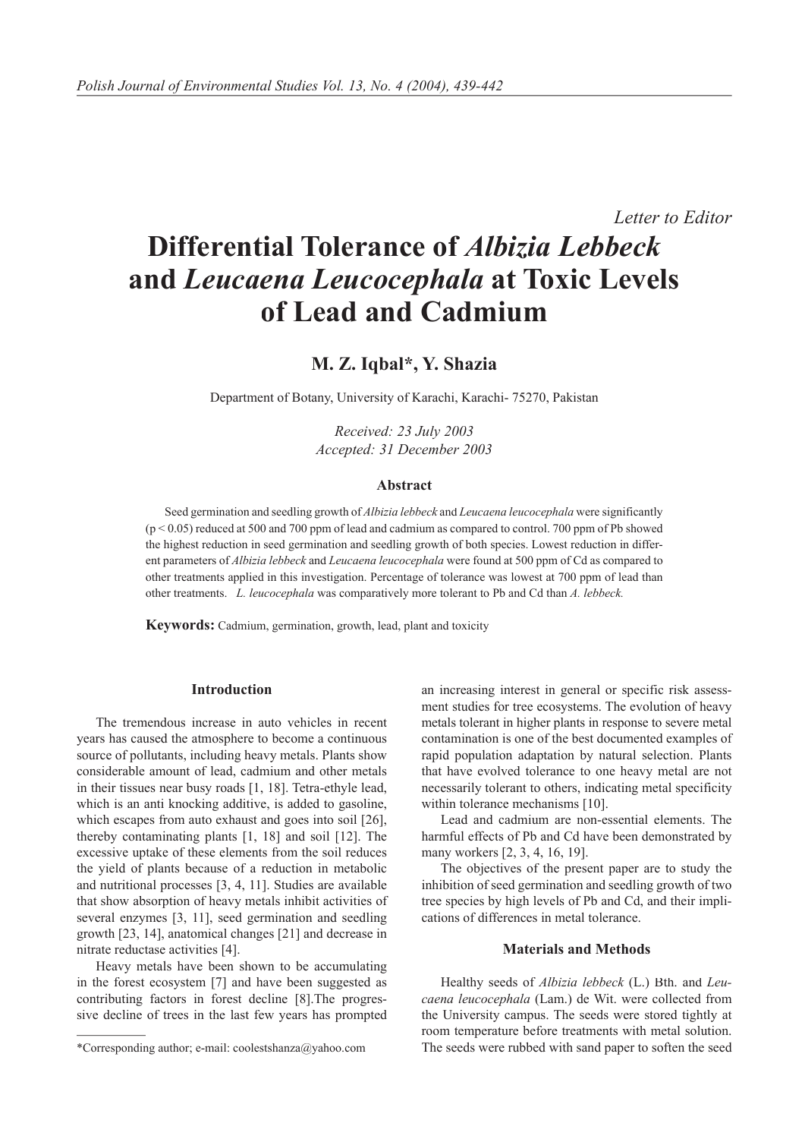*Letter to Editor*

# **Differential Tolerance of** *Albizia Lebbeck* **and** *Leucaena Leucocephala* **at Toxic Levels of Lead and Cadmium**

## **M. Z. Iqbal\*, Y. Shazia**

Department of Botany, University of Karachi, Karachi- 75270, Pakistan

*Received: 23 July 2003 Accepted: 31 December 2003*

#### **Abstract**

Seed germination and seedling growth of *Albizia lebbeck* and *Leucaena leucocephala* were significantly (p < 0.05) reduced at 500 and 700 ppm of lead and cadmium as compared to control. 700 ppm of Pb showed the highest reduction in seed germination and seedling growth of both species. Lowest reduction in different parameters of *Albizia lebbeck* and *Leucaena leucocephala* were found at 500 ppm of Cd as compared to other treatments applied in this investigation. Percentage of tolerance was lowest at 700 ppm of lead than other treatments. *L. leucocephala* was comparatively more tolerant to Pb and Cd than *A. lebbeck.*

**Keywords:** Cadmium, germination, growth, lead, plant and toxicity

#### **Introduction**

The tremendous increase in auto vehicles in recent years has caused the atmosphere to become a continuous source of pollutants, including heavy metals. Plants show considerable amount of lead, cadmium and other metals in their tissues near busy roads [1, 18]. Tetra-ethyle lead, which is an anti knocking additive, is added to gasoline, which escapes from auto exhaust and goes into soil [26], thereby contaminating plants [1, 18] and soil [12]. The excessive uptake of these elements from the soil reduces the yield of plants because of a reduction in metabolic and nutritional processes [3, 4, 11]. Studies are available that show absorption of heavy metals inhibit activities of several enzymes [3, 11], seed germination and seedling growth [23, 14], anatomical changes [21] and decrease in nitrate reductase activities [4].

Heavy metals have been shown to be accumulating in the forest ecosystem [7] and have been suggested as contributing factors in forest decline [8].The progressive decline of trees in the last few years has prompted an increasing interest in general or specific risk assessment studies for tree ecosystems. The evolution of heavy metals tolerant in higher plants in response to severe metal contamination is one of the best documented examples of rapid population adaptation by natural selection. Plants that have evolved tolerance to one heavy metal are not necessarily tolerant to others, indicating metal specificity within tolerance mechanisms [10].

Lead and cadmium are non-essential elements. The harmful effects of Pb and Cd have been demonstrated by many workers [2, 3, 4, 16, 19].

The objectives of the present paper are to study the inhibition of seed germination and seedling growth of two tree species by high levels of Pb and Cd, and their implications of differences in metal tolerance.

#### **Materials and Methods**

Healthy seeds of *Albizia lebbeck* (L.) Bth. and *Leucaena leucocephala* (Lam.) de Wit. were collected from the University campus. The seeds were stored tightly at room temperature before treatments with metal solution. The seeds were rubbed with sand paper to soften the seed

<sup>\*</sup>Corresponding author; e-mail: coolestshanza@yahoo.com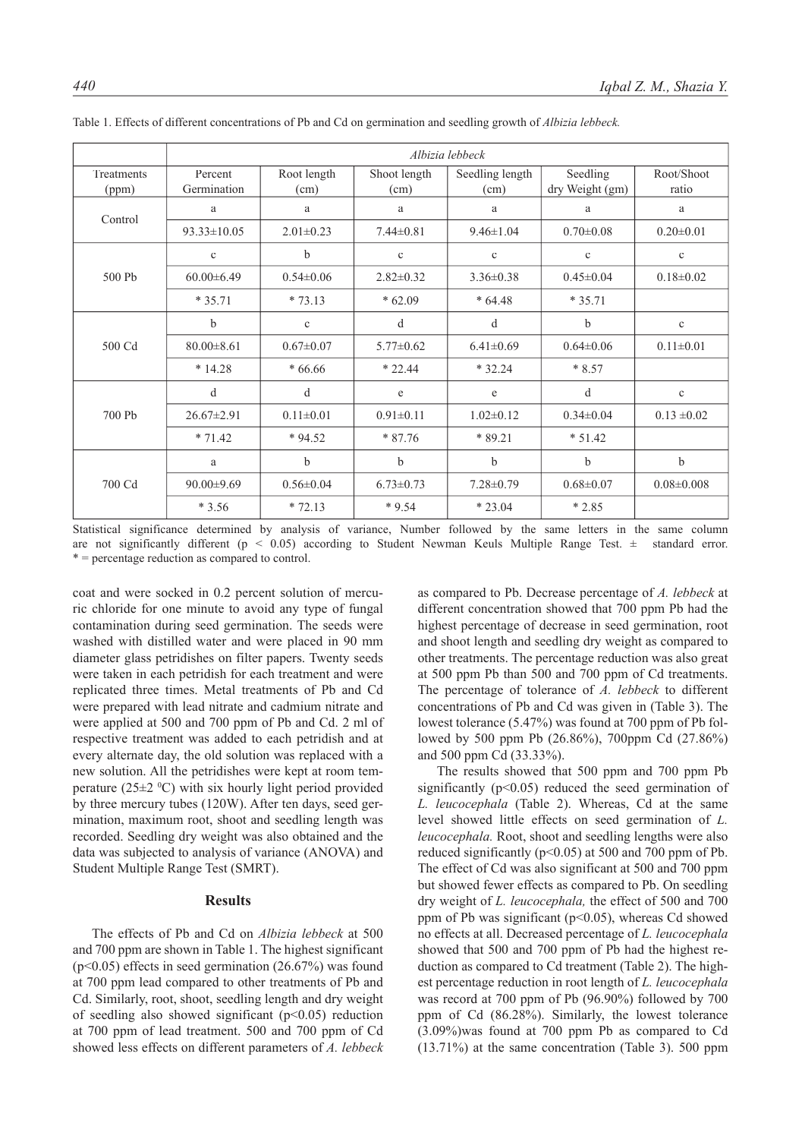|                     | Albizia lebbeck        |                     |                      |                         |                             |                     |
|---------------------|------------------------|---------------------|----------------------|-------------------------|-----------------------------|---------------------|
| Treatments<br>(ppm) | Percent<br>Germination | Root length<br>(cm) | Shoot length<br>(cm) | Seedling length<br>(cm) | Seedling<br>dry Weight (gm) | Root/Shoot<br>ratio |
| Control             | a                      | $\rm{a}$            | a                    | a                       | a                           | a                   |
|                     | $93.33 \pm 10.05$      | $2.01 \pm 0.23$     | $7.44 \pm 0.81$      | $9.46 \pm 1.04$         | $0.70 \pm 0.08$             | $0.20 \pm 0.01$     |
| 500 Pb              | $\mathbf c$            | $\mathbf b$         | $\mathbf c$          | $\mathbf c$             | $\mathbf c$                 | $\mathbf c$         |
|                     | $60.00 \pm 6.49$       | $0.54 \pm 0.06$     | $2.82 \pm 0.32$      | $3.36 \pm 0.38$         | $0.45 \pm 0.04$             | $0.18 \pm 0.02$     |
|                     | $*35.71$               | $*73.13$            | $*62.09$             | $*64.48$                | $*35.71$                    |                     |
| 500 Cd              | b                      | $\mathbf c$         | d                    | d                       | $\mathbf b$                 | $\mathbf c$         |
|                     | $80.00 \pm 8.61$       | $0.67 \pm 0.07$     | $5.77 \pm 0.62$      | $6.41\pm0.69$           | $0.64 \pm 0.06$             | $0.11 \pm 0.01$     |
|                     | $*14.28$               | $*66.66$            | $*22.44$             | $*32.24$                | $*8.57$                     |                     |
|                     | d                      | d                   | e                    | e                       | d                           | $\mathbf{c}$        |
| 700 Pb              | $26.67 \pm 2.91$       | $0.11 \pm 0.01$     | $0.91 \pm 0.11$      | $1.02 \pm 0.12$         | $0.34 \pm 0.04$             | $0.13 \pm 0.02$     |
|                     | $* 71.42$              | $*94.52$            | $*87.76$             | * 89.21                 | $* 51.42$                   |                     |
| 700 Cd              | a                      | $\mathbf b$         | b                    | b                       | $\mathbf b$                 | $\mathbf b$         |
|                     | $90.00 \pm 9.69$       | $0.56 \pm 0.04$     | $6.73 \pm 0.73$      | $7.28 \pm 0.79$         | $0.68 \pm 0.07$             | $0.08 \pm 0.008$    |
|                     | $*3.56$                | $* 72.13$           | $*9.54$              | $*23.04$                | $*2.85$                     |                     |

Table 1. Effects of different concentrations of Pb and Cd on germination and seedling growth of *Albizia lebbeck.*

Statistical significance determined by analysis of variance, Number followed by the same letters in the same column are not significantly different ( $p < 0.05$ ) according to Student Newman Keuls Multiple Range Test.  $\pm$  standard error. \* = percentage reduction as compared to control.

coat and were socked in 0.2 percent solution of mercuric chloride for one minute to avoid any type of fungal contamination during seed germination. The seeds were washed with distilled water and were placed in 90 mm diameter glass petridishes on filter papers. Twenty seeds were taken in each petridish for each treatment and were replicated three times. Metal treatments of Pb and Cd were prepared with lead nitrate and cadmium nitrate and were applied at 500 and 700 ppm of Pb and Cd. 2 ml of respective treatment was added to each petridish and at every alternate day, the old solution was replaced with a new solution. All the petridishes were kept at room temperature  $(25\pm2~\text{°C})$  with six hourly light period provided by three mercury tubes (120W). After ten days, seed germination, maximum root, shoot and seedling length was recorded. Seedling dry weight was also obtained and the data was subjected to analysis of variance (ANOVA) and Student Multiple Range Test (SMRT).

### **Results**

The effects of Pb and Cd on *Albizia lebbeck* at 500 and 700 ppm are shown in Table 1. The highest significant (p<0.05) effects in seed germination (26.67%) was found at 700 ppm lead compared to other treatments of Pb and Cd. Similarly, root, shoot, seedling length and dry weight of seedling also showed significant  $(p<0.05)$  reduction at 700 ppm of lead treatment. 500 and 700 ppm of Cd showed less effects on different parameters of *A. lebbeck*  as compared to Pb. Decrease percentage of *A. lebbeck* at different concentration showed that 700 ppm Pb had the highest percentage of decrease in seed germination, root and shoot length and seedling dry weight as compared to other treatments. The percentage reduction was also great at 500 ppm Pb than 500 and 700 ppm of Cd treatments. The percentage of tolerance of *A. lebbeck* to different concentrations of Pb and Cd was given in (Table 3). The lowest tolerance (5.47%) was found at 700 ppm of Pb followed by 500 ppm Pb (26.86%), 700ppm Cd (27.86%) and 500 ppm Cd (33.33%).

The results showed that 500 ppm and 700 ppm Pb significantly ( $p<0.05$ ) reduced the seed germination of *L. leucocephala* (Table 2). Whereas, Cd at the same level showed little effects on seed germination of *L. leucocephala.* Root, shoot and seedling lengths were also reduced significantly ( $p<0.05$ ) at 500 and 700 ppm of Pb. The effect of Cd was also significant at 500 and 700 ppm but showed fewer effects as compared to Pb. On seedling dry weight of *L. leucocephala,* the effect of 500 and 700 ppm of Pb was significant ( $p<0.05$ ), whereas Cd showed no effects at all. Decreased percentage of *L. leucocephala* showed that 500 and 700 ppm of Pb had the highest reduction as compared to Cd treatment (Table 2). The highest percentage reduction in root length of *L. leucocephala*  was record at 700 ppm of Pb (96.90%) followed by 700 ppm of Cd (86.28%). Similarly, the lowest tolerance (3.09%)was found at 700 ppm Pb as compared to Cd (13.71%) at the same concentration (Table 3). 500 ppm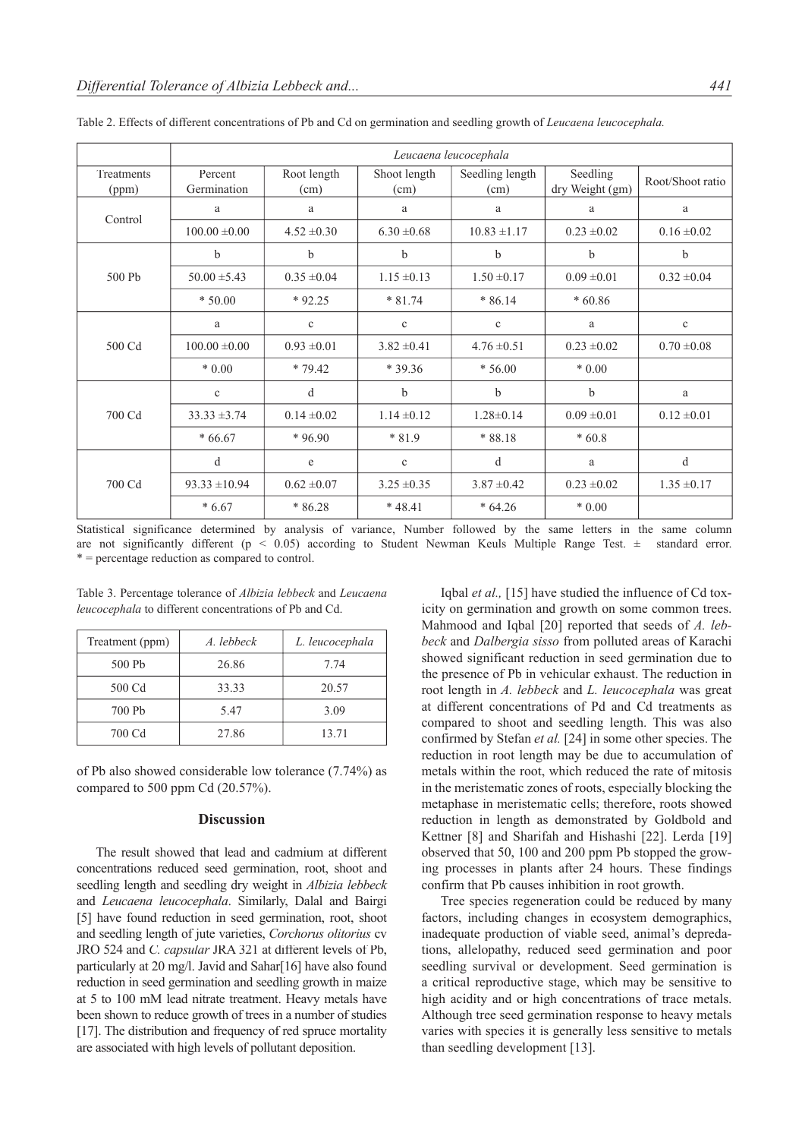|                     | Leucaena leucocephala  |                     |                      |                         |                             |                  |
|---------------------|------------------------|---------------------|----------------------|-------------------------|-----------------------------|------------------|
| Treatments<br>(ppm) | Percent<br>Germination | Root length<br>(cm) | Shoot length<br>(cm) | Seedling length<br>(cm) | Seedling<br>dry Weight (gm) | Root/Shoot ratio |
| Control             | a                      | a                   | a                    | a                       | a                           | a                |
|                     | $100.00 \pm 0.00$      | $4.52 \pm 0.30$     | $6.30 \pm 0.68$      | $10.83 \pm 1.17$        | $0.23 \pm 0.02$             | $0.16 \pm 0.02$  |
| 500 Pb              | b                      | b                   | b                    | b                       | b                           | b                |
|                     | $50.00 \pm 5.43$       | $0.35 \pm 0.04$     | $1.15 \pm 0.13$      | $1.50 \pm 0.17$         | $0.09 \pm 0.01$             | $0.32 \pm 0.04$  |
|                     | $*50.00$               | $*92.25$            | $*81.74$             | $*86.14$                | $*60.86$                    |                  |
| 500 Cd              | a                      | $\mathbf c$         | $\mathbf c$          | $\mathbf c$             | a                           | $\mathbf c$      |
|                     | $100.00 \pm 0.00$      | $0.93 \pm 0.01$     | $3.82 \pm 0.41$      | $4.76 \pm 0.51$         | $0.23 \pm 0.02$             | $0.70 \pm 0.08$  |
|                     | $*0.00$                | $*79.42$            | * 39.36              | $*56.00$                | $*0.00$                     |                  |
| 700 Cd              | $\mathbf{c}$           | d                   | b                    | b                       | b                           | a                |
|                     | $33.33 \pm 3.74$       | $0.14 \pm 0.02$     | $1.14 \pm 0.12$      | $1.28 \pm 0.14$         | $0.09 \pm 0.01$             | $0.12 \pm 0.01$  |
|                     | $*66.67$               | $*96.90$            | $*81.9$              | $*88.18$                | $*60.8$                     |                  |
| 700 Cd              | d                      | e                   | $\mathbf c$          | d                       | a                           | d                |
|                     | $93.33 \pm 10.94$      | $0.62 \pm 0.07$     | $3.25 \pm 0.35$      | $3.87 \pm 0.42$         | $0.23 \pm 0.02$             | $1.35 \pm 0.17$  |
|                     | $*6.67$                | $*86.28$            | $*48.41$             | $*64.26$                | $*0.00$                     |                  |

Table 2. Effects of different concentrations of Pb and Cd on germination and seedling growth of *Leucaena leucocephala.*

Statistical significance determined by analysis of variance, Number followed by the same letters in the same column are not significantly different ( $p < 0.05$ ) according to Student Newman Keuls Multiple Range Test.  $\pm$  standard error. \* = percentage reduction as compared to control.

Table 3. Percentage tolerance of *Albizia lebbeck* and *Leucaena leucocephala* to different concentrations of Pb and Cd.

| Treatment (ppm) | A. lebbeck | L. leucocephala |  |
|-----------------|------------|-----------------|--|
| 500 Pb          | 26.86      | 7.74            |  |
| 500 Cd          | 33.33      | 20.57           |  |
| 700 Ph          | 547        | 3.09            |  |
| 700 Cd          | 27.86      | 13.71           |  |

of Pb also showed considerable low tolerance (7.74%) as compared to 500 ppm Cd (20.57%).

### **Discussion**

The result showed that lead and cadmium at different concentrations reduced seed germination, root, shoot and seedling length and seedling dry weight in *Albizia lebbeck*  and *Leucaena leucocephala*. Similarly, Dalal and Bairgi [5] have found reduction in seed germination, root, shoot and seedling length of jute varieties, *Corchorus olitorius* cv JRO 524 and *C. capsular* JRA 321 at different levels of Pb, particularly at 20 mg/l. Javid and Sahar[16] have also found reduction in seed germination and seedling growth in maize at 5 to 100 mM lead nitrate treatment. Heavy metals have been shown to reduce growth of trees in a number of studies [17]. The distribution and frequency of red spruce mortality are associated with high levels of pollutant deposition.

Iqbal *et al.*, [15] have studied the influence of Cd toxicity on germination and growth on some common trees. Mahmood and Iqbal [20] reported that seeds of *A. lebbeck* and *Dalbergia sisso* from polluted areas of Karachi showed significant reduction in seed germination due to the presence of Pb in vehicular exhaust. The reduction in root length in *A. lebbeck* and *L. leucocephala* was great at different concentrations of Pd and Cd treatments as compared to shoot and seedling length. This was also confirmed by Stefan *et al.* [24] in some other species. The reduction in root length may be due to accumulation of metals within the root, which reduced the rate of mitosis in the meristematic zones of roots, especially blocking the metaphase in meristematic cells; therefore, roots showed reduction in length as demonstrated by Goldbold and Kettner [8] and Sharifah and Hishashi [22]. Lerda [19] observed that 50, 100 and 200 ppm Pb stopped the growing processes in plants after 24 hours. These findings confirm that Pb causes inhibition in root growth.

Tree species regeneration could be reduced by many factors, including changes in ecosystem demographics, inadequate production of viable seed, animal's depredations, allelopathy, reduced seed germination and poor seedling survival or development. Seed germination is a critical reproductive stage, which may be sensitive to high acidity and or high concentrations of trace metals. Although tree seed germination response to heavy metals varies with species it is generally less sensitive to metals than seedling development [13].